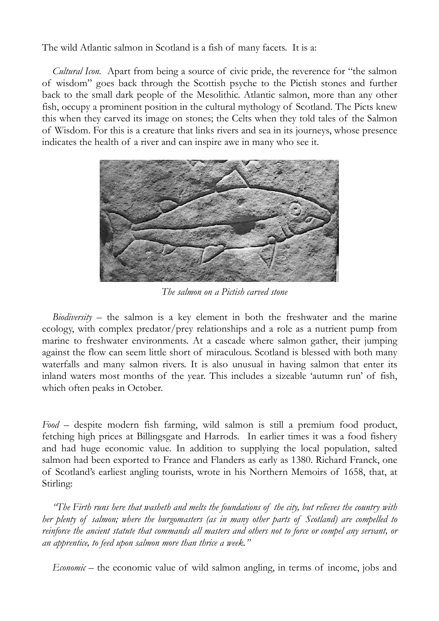The wild Atlantic salmon in Scotland is a fish of many facets. It is a:

*Cultural Icon.* Apart from being a source of civic pride, the reverence for "the salmon of wisdom" goes back through the Scottish psyche to the Pictish stones and further back to the small dark people of the Mesolithic. Atlantic salmon, more than any other fish, occupy a prominent position in the cultural mythology of Scotland. The Picts knew this when they carved its image on stones; the Celts when they told tales of the Salmon of Wisdom. For this is a creature that links rivers and sea in its journeys, whose presence indicates the health of a river and can inspire awe in many who see it.



*The salmon on a Pictish carved stone*

*Biodiversity* – the salmon is a key element in both the freshwater and the marine ecology, with complex predator/prey relationships and a role as a nutrient pump from marine to freshwater environments. At a cascade where salmon gather, their jumping against the flow can seem little short of miraculous. Scotland is blessed with both many waterfalls and many salmon rivers. It is also unusual in having salmon that enter its inland waters most months of the year. This includes a sizeable 'autumn run' of fish, which often peaks in October.

*Food* – despite modern fish farming, wild salmon is still a premium food product, fetching high prices at Billingsgate and Harrods. In earlier times it was a food fishery and had huge economic value. In addition to supplying the local population, salted salmon had been exported to France and Flanders as early as 1380. Richard Franck, one of Scotland's earliest angling tourists, wrote in his Northern Memoirs of 1658, that, at Stirling:

*"The Firth runs here that washeth and melts the foundations of the city, but relieves the country with her plenty of salmon; where the burgomasters (as in many other parts of Scotland) are compelled to reinforce the ancient statute that commands all masters and others not to force or compel any servant, or an apprentice, to feed upon salmon more than thrice a week."* 

*Economic* – the economic value of wild salmon angling, in terms of income, jobs and